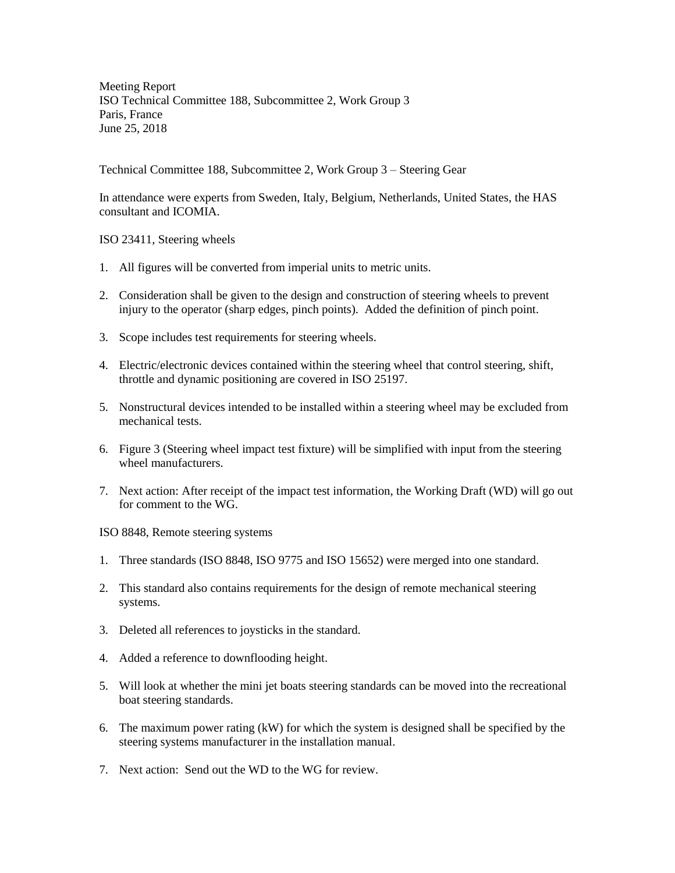Meeting Report ISO Technical Committee 188, Subcommittee 2, Work Group 3 Paris, France June 25, 2018

Technical Committee 188, Subcommittee 2, Work Group 3 – Steering Gear

In attendance were experts from Sweden, Italy, Belgium, Netherlands, United States, the HAS consultant and ICOMIA.

ISO 23411, Steering wheels

- 1. All figures will be converted from imperial units to metric units.
- 2. Consideration shall be given to the design and construction of steering wheels to prevent injury to the operator (sharp edges, pinch points). Added the definition of pinch point.
- 3. Scope includes test requirements for steering wheels.
- 4. Electric/electronic devices contained within the steering wheel that control steering, shift, throttle and dynamic positioning are covered in ISO 25197.
- 5. Nonstructural devices intended to be installed within a steering wheel may be excluded from mechanical tests.
- 6. Figure 3 (Steering wheel impact test fixture) will be simplified with input from the steering wheel manufacturers.
- 7. Next action: After receipt of the impact test information, the Working Draft (WD) will go out for comment to the WG.

ISO 8848, Remote steering systems

- 1. Three standards (ISO 8848, ISO 9775 and ISO 15652) were merged into one standard.
- 2. This standard also contains requirements for the design of remote mechanical steering systems.
- 3. Deleted all references to joysticks in the standard.
- 4. Added a reference to downflooding height.
- 5. Will look at whether the mini jet boats steering standards can be moved into the recreational boat steering standards.
- 6. The maximum power rating (kW) for which the system is designed shall be specified by the steering systems manufacturer in the installation manual.
- 7. Next action: Send out the WD to the WG for review.